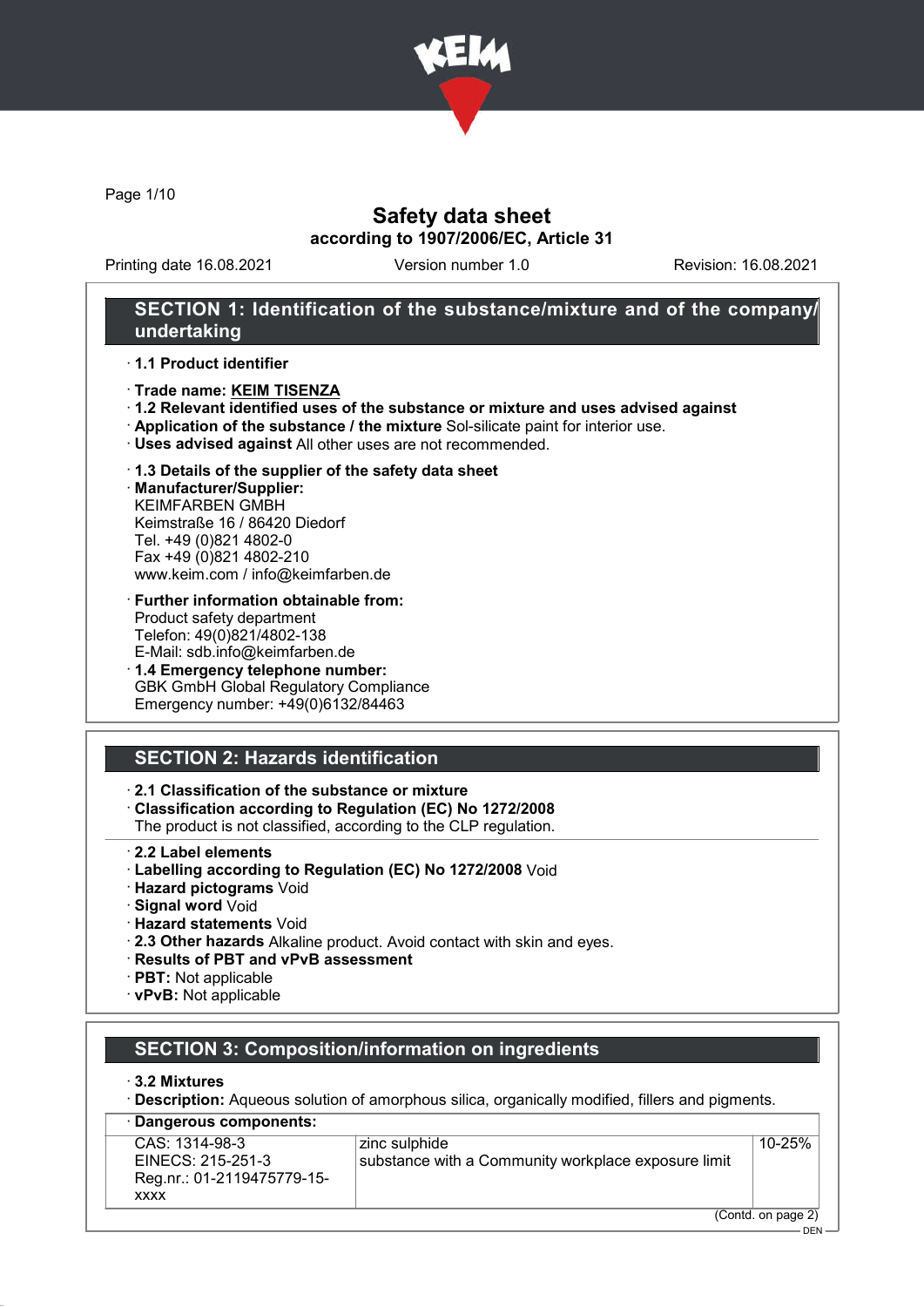

Page 1/10

## Safety data sheet according to 1907/2006/EC, Article 31

Printing date 16.08.2021 Version number 1.0 Revision: 16.08.2021

### SECTION 1: Identification of the substance/mixture and of the company/ undertaking

#### · 1.1 Product identifier

- · Trade name: KEIM TISENZA
- · 1.2 Relevant identified uses of the substance or mixture and uses advised against
- · Application of the substance / the mixture Sol-silicate paint for interior use.
- · Uses advised against All other uses are not recommended.

### · 1.3 Details of the supplier of the safety data sheet

· Manufacturer/Supplier: KEIMFARBEN GMBH Keimstraße 16 / 86420 Diedorf Tel. +49 (0)821 4802-0 Fax +49 (0)821 4802-210 www.keim.com / info@keimfarben.de

- · Further information obtainable from: Product safety department Telefon: 49(0)821/4802-138 E-Mail: sdb.info@keimfarben.de
- · 1.4 Emergency telephone number: **GBK GmbH Global Regulatory Compliance** Emergency number: +49(0)6132/84463

## SECTION 2: Hazards identification

### · 2.1 Classification of the substance or mixture

· Classification according to Regulation (EC) No 1272/2008

The product is not classified, according to the CLP regulation.

- · 2.2 Label elements
- · Labelling according to Regulation (EC) No 1272/2008 Void
- · Hazard pictograms Void
- · Signal word Void
- · Hazard statements Void
- · 2.3 Other hazards Alkaline product. Avoid contact with skin and eyes.
- · Results of PBT and vPvB assessment
- · PBT: Not applicable
- · vPvB: Not applicable

## SECTION 3: Composition/information on ingredients

#### · 3.2 Mixtures

· Description: Aqueous solution of amorphous silica, organically modified, fillers and pigments.

| · Dangerous components:                                                          |                                                                      |                    |
|----------------------------------------------------------------------------------|----------------------------------------------------------------------|--------------------|
| CAS: 1314-98-3<br>EINECS: 215-251-3<br>Reg.nr.: 01-2119475779-15-<br><b>XXXX</b> | zinc sulphide<br>substance with a Community workplace exposure limit | 10-25%             |
|                                                                                  |                                                                      | (Contd. on page 2) |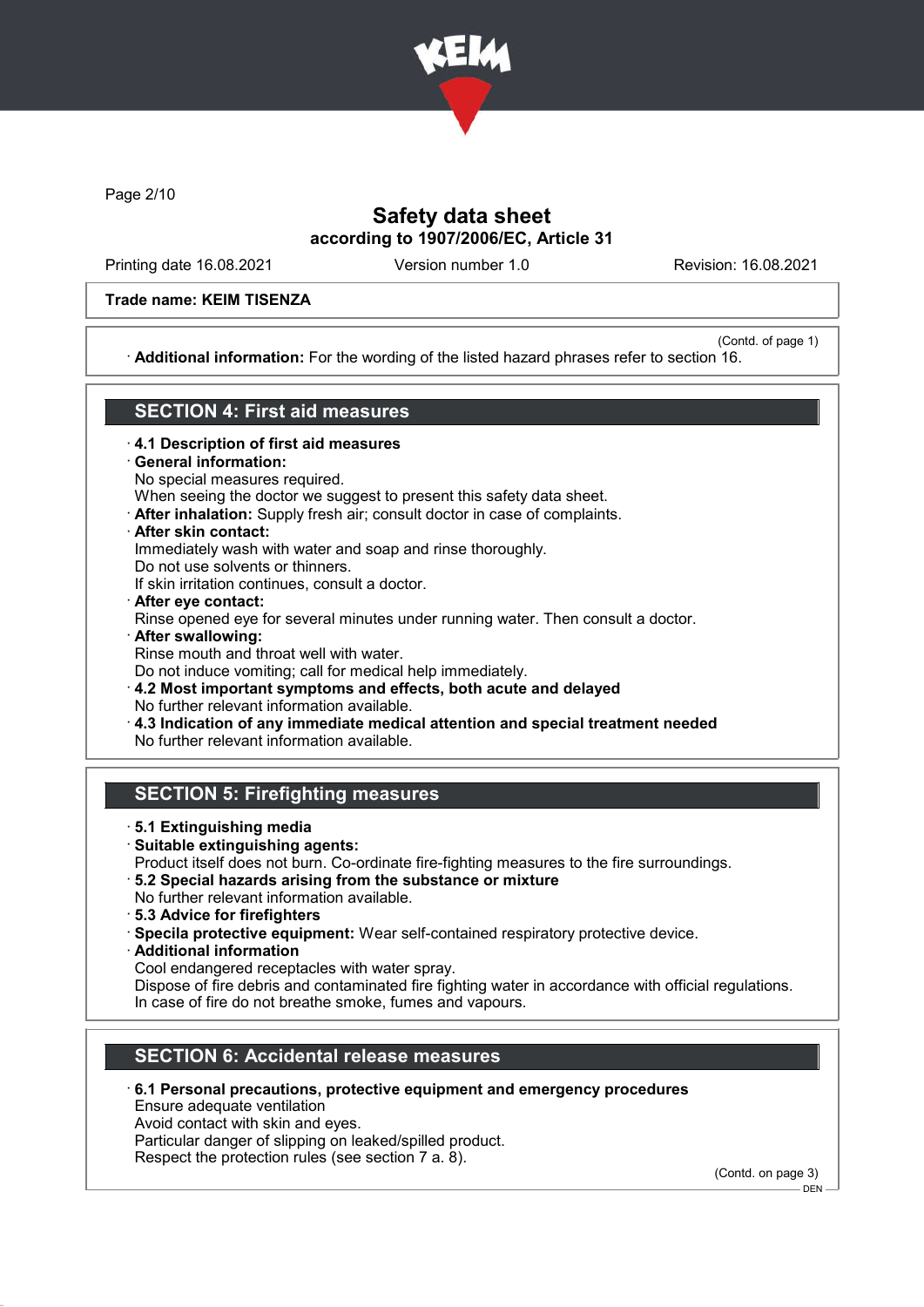

Page 2/10

## Safety data sheet according to 1907/2006/EC, Article 31

Printing date 16.08.2021 Version number 1.0 Revision: 16.08.2021

(Contd. of page 1)

#### Trade name: KEIM TISENZA

· Additional information: For the wording of the listed hazard phrases refer to section 16.

### SECTION 4: First aid measures

- · 4.1 Description of first aid measures
- General information:
- No special measures required.
- When seeing the doctor we suggest to present this safety data sheet.
- · After inhalation: Supply fresh air; consult doctor in case of complaints.
- · After skin contact:

Immediately wash with water and soap and rinse thoroughly.

Do not use solvents or thinners.

- If skin irritation continues, consult a doctor.
- · After eye contact: Rinse opened eye for several minutes under running water. Then consult a doctor.
- · After swallowing: Rinse mouth and throat well with water. Do not induce vomiting; call for medical help immediately.

· 4.2 Most important symptoms and effects, both acute and delayed No further relevant information available.

- · 4.3 Indication of any immediate medical attention and special treatment needed
- No further relevant information available.

### SECTION 5: Firefighting measures

- · 5.1 Extinguishing media
- · Suitable extinguishing agents: Product itself does not burn. Co-ordinate fire-fighting measures to the fire surroundings.
- · 5.2 Special hazards arising from the substance or mixture
- No further relevant information available.
- · 5.3 Advice for firefighters
- · Specila protective equipment: Wear self-contained respiratory protective device.
- · Additional information
- Cool endangered receptacles with water spray.

Dispose of fire debris and contaminated fire fighting water in accordance with official regulations. In case of fire do not breathe smoke, fumes and vapours.

## SECTION 6: Accidental release measures

### · 6.1 Personal precautions, protective equipment and emergency procedures

Ensure adequate ventilation

Avoid contact with skin and eyes.

Particular danger of slipping on leaked/spilled product.

Respect the protection rules (see section 7 a. 8).

(Contd. on page 3) DEN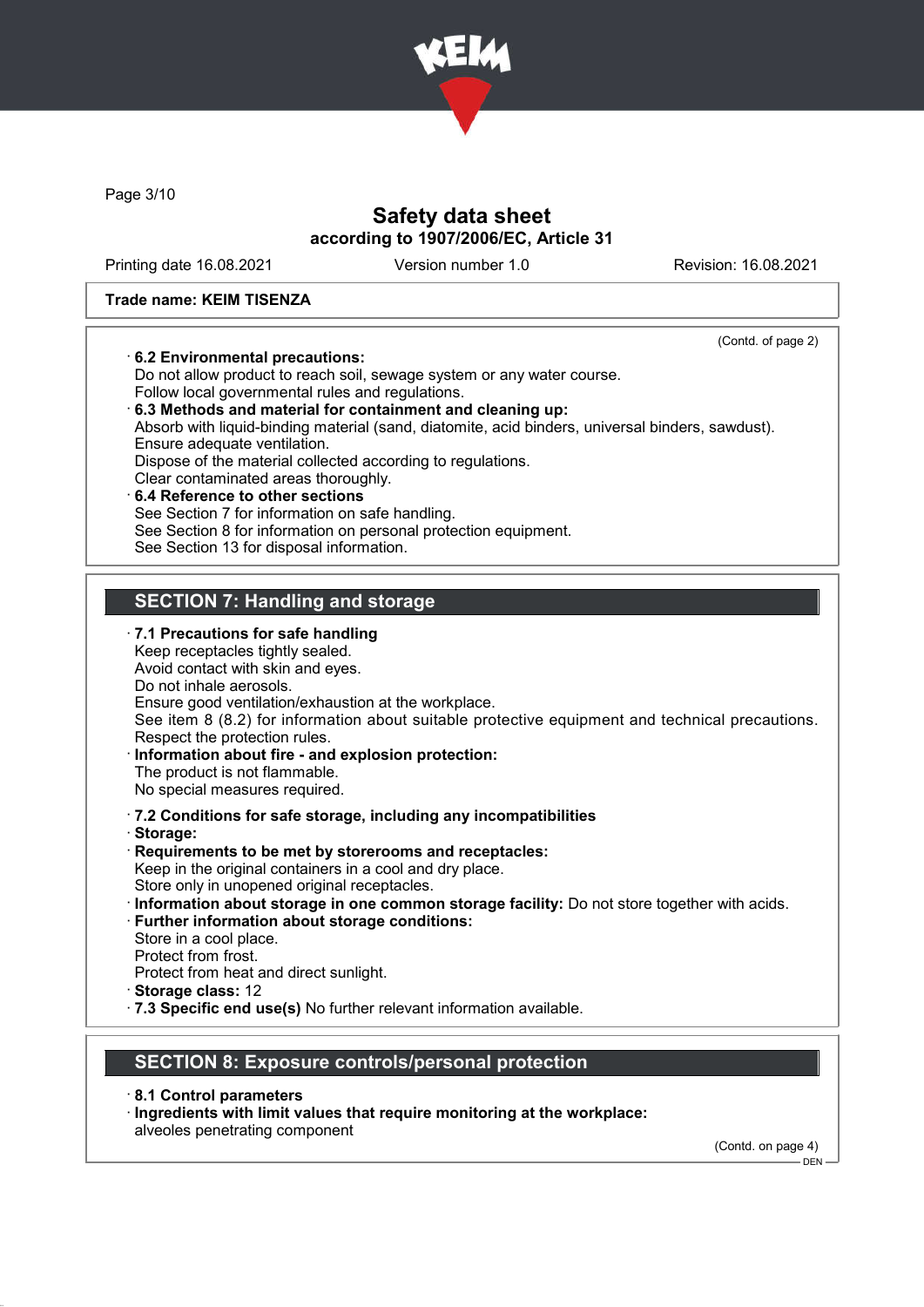

Page 3/10

## Safety data sheet according to 1907/2006/EC, Article 31

Printing date 16.08.2021 Version number 1.0 Revision: 16.08.2021

(Contd. of page 2)

#### Trade name: KEIM TISENZA

#### · 6.2 Environmental precautions:

Do not allow product to reach soil, sewage system or any water course. Follow local governmental rules and regulations.

- · 6.3 Methods and material for containment and cleaning up: Absorb with liquid-binding material (sand, diatomite, acid binders, universal binders, sawdust). Ensure adequate ventilation. Dispose of the material collected according to regulations. Clear contaminated areas thoroughly. 6.4 Reference to other sections
- See Section 7 for information on safe handling. See Section 8 for information on personal protection equipment. See Section 13 for disposal information.

## SECTION 7: Handling and storage

- · 7.1 Precautions for safe handling Keep receptacles tightly sealed. Avoid contact with skin and eyes. Do not inhale aerosols. Ensure good ventilation/exhaustion at the workplace. See item 8 (8.2) for information about suitable protective equipment and technical precautions. Respect the protection rules. · Information about fire - and explosion protection: The product is not flammable. No special measures required. · 7.2 Conditions for safe storage, including any incompatibilities · Storage: · Requirements to be met by storerooms and receptacles: Keep in the original containers in a cool and dry place. Store only in unopened original receptacles. · Information about storage in one common storage facility: Do not store together with acids. · Further information about storage conditions: Store in a cool place.
- Protect from frost.
- Protect from heat and direct sunlight.
- · Storage class: 12
- · 7.3 Specific end use(s) No further relevant information available.

### SECTION 8: Exposure controls/personal protection

- · 8.1 Control parameters
- · Ingredients with limit values that require monitoring at the workplace:

alveoles penetrating component

(Contd. on page 4)

 $-$  DEN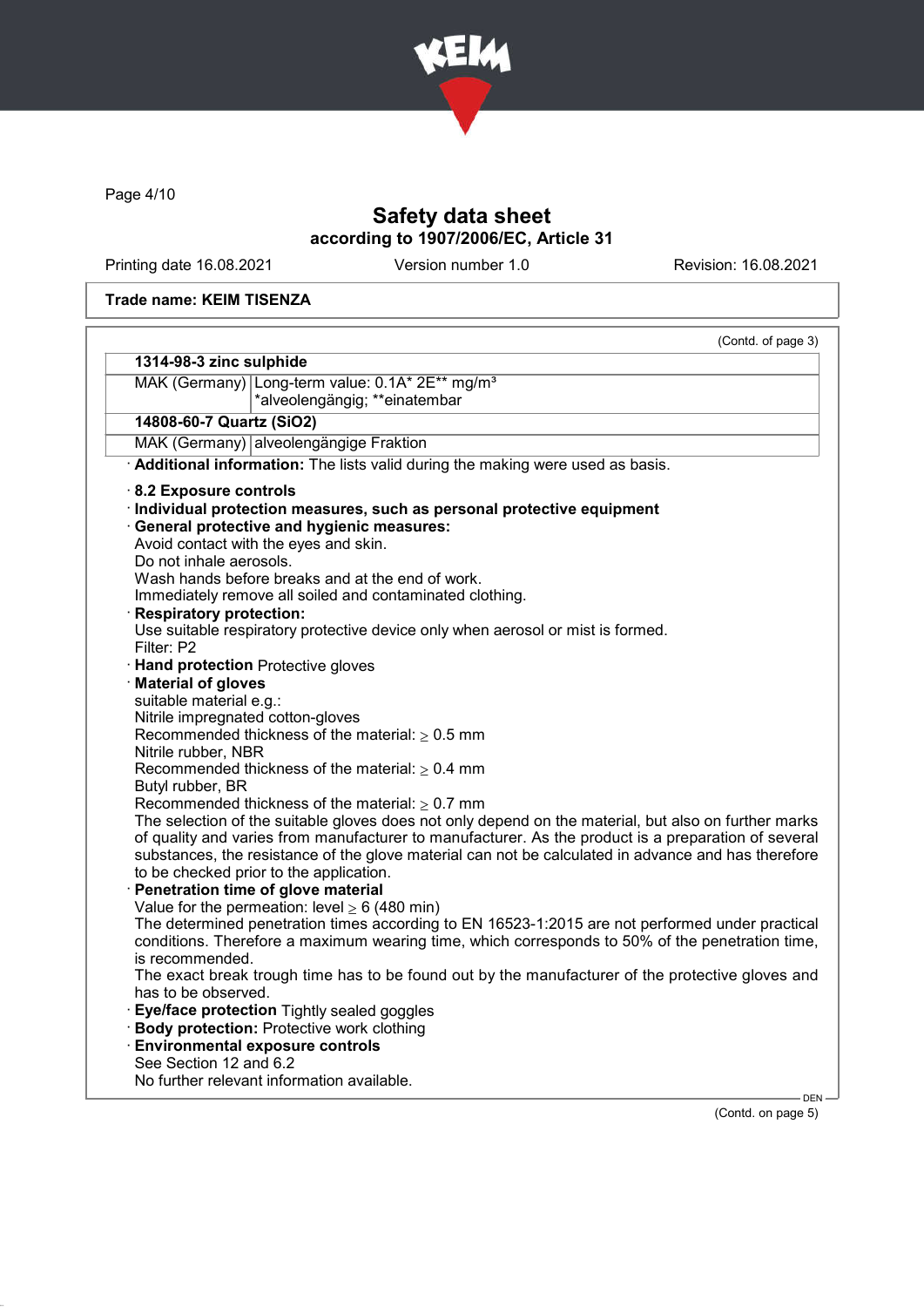

Page 4/10

# Safety data sheet according to 1907/2006/EC, Article 31

Printing date 16.08.2021 Version number 1.0 Revision: 16.08.2021

#### Trade name: KEIM TISENZA

| MAK (Germany) Long-term value: 0.1A* 2E** mg/m <sup>3</sup><br>*alveolengängig; **einatembar<br>14808-60-7 Quartz (SiO2)<br>MAK (Germany) alveolengängige Fraktion<br>Additional information: The lists valid during the making were used as basis.<br>· Individual protection measures, such as personal protective equipment<br>· General protective and hygienic measures:<br>Avoid contact with the eyes and skin.<br>Do not inhale aerosols.<br>Wash hands before breaks and at the end of work.<br>Immediately remove all soiled and contaminated clothing.<br>· Respiratory protection:<br>Use suitable respiratory protective device only when aerosol or mist is formed.<br>Filter: P2<br><b>Hand protection Protective gloves</b><br>· Material of gloves<br>suitable material e.g.:<br>Recommended thickness of the material: $\geq 0.5$ mm<br>Nitrile rubber, NBR<br>Recommended thickness of the material: $\geq 0.4$ mm<br>Butyl rubber, BR<br>Recommended thickness of the material: $\geq 0.7$ mm<br>The selection of the suitable gloves does not only depend on the material, but also on further marks<br>of quality and varies from manufacturer to manufacturer. As the product is a preparation of several<br>substances, the resistance of the glove material can not be calculated in advance and has therefore<br>to be checked prior to the application.<br>Penetration time of glove material<br>Value for the permeation: level $\geq 6$ (480 min)<br>The determined penetration times according to EN 16523-1:2015 are not performed under practical<br>conditions. Therefore a maximum wearing time, which corresponds to 50% of the penetration time,<br>is recommended.<br>The exact break trough time has to be found out by the manufacturer of the protective gloves and<br>has to be observed.<br>· Eye/face protection Tightly sealed goggles<br>· Body protection: Protective work clothing<br><b>Environmental exposure controls</b><br>See Section 12 and 6.2<br>No further relevant information available. |                                   | (Contd. of page 3) |
|-----------------------------------------------------------------------------------------------------------------------------------------------------------------------------------------------------------------------------------------------------------------------------------------------------------------------------------------------------------------------------------------------------------------------------------------------------------------------------------------------------------------------------------------------------------------------------------------------------------------------------------------------------------------------------------------------------------------------------------------------------------------------------------------------------------------------------------------------------------------------------------------------------------------------------------------------------------------------------------------------------------------------------------------------------------------------------------------------------------------------------------------------------------------------------------------------------------------------------------------------------------------------------------------------------------------------------------------------------------------------------------------------------------------------------------------------------------------------------------------------------------------------------------------------------------------------------------------------------------------------------------------------------------------------------------------------------------------------------------------------------------------------------------------------------------------------------------------------------------------------------------------------------------------------------------------------------------------------------------------------------------------------------------------------------|-----------------------------------|--------------------|
|                                                                                                                                                                                                                                                                                                                                                                                                                                                                                                                                                                                                                                                                                                                                                                                                                                                                                                                                                                                                                                                                                                                                                                                                                                                                                                                                                                                                                                                                                                                                                                                                                                                                                                                                                                                                                                                                                                                                                                                                                                                     | 1314-98-3 zinc sulphide           |                    |
|                                                                                                                                                                                                                                                                                                                                                                                                                                                                                                                                                                                                                                                                                                                                                                                                                                                                                                                                                                                                                                                                                                                                                                                                                                                                                                                                                                                                                                                                                                                                                                                                                                                                                                                                                                                                                                                                                                                                                                                                                                                     |                                   |                    |
|                                                                                                                                                                                                                                                                                                                                                                                                                                                                                                                                                                                                                                                                                                                                                                                                                                                                                                                                                                                                                                                                                                                                                                                                                                                                                                                                                                                                                                                                                                                                                                                                                                                                                                                                                                                                                                                                                                                                                                                                                                                     |                                   |                    |
|                                                                                                                                                                                                                                                                                                                                                                                                                                                                                                                                                                                                                                                                                                                                                                                                                                                                                                                                                                                                                                                                                                                                                                                                                                                                                                                                                                                                                                                                                                                                                                                                                                                                                                                                                                                                                                                                                                                                                                                                                                                     |                                   |                    |
|                                                                                                                                                                                                                                                                                                                                                                                                                                                                                                                                                                                                                                                                                                                                                                                                                                                                                                                                                                                                                                                                                                                                                                                                                                                                                                                                                                                                                                                                                                                                                                                                                                                                                                                                                                                                                                                                                                                                                                                                                                                     |                                   |                    |
|                                                                                                                                                                                                                                                                                                                                                                                                                                                                                                                                                                                                                                                                                                                                                                                                                                                                                                                                                                                                                                                                                                                                                                                                                                                                                                                                                                                                                                                                                                                                                                                                                                                                                                                                                                                                                                                                                                                                                                                                                                                     |                                   |                    |
|                                                                                                                                                                                                                                                                                                                                                                                                                                                                                                                                                                                                                                                                                                                                                                                                                                                                                                                                                                                                                                                                                                                                                                                                                                                                                                                                                                                                                                                                                                                                                                                                                                                                                                                                                                                                                                                                                                                                                                                                                                                     | 8.2 Exposure controls             |                    |
|                                                                                                                                                                                                                                                                                                                                                                                                                                                                                                                                                                                                                                                                                                                                                                                                                                                                                                                                                                                                                                                                                                                                                                                                                                                                                                                                                                                                                                                                                                                                                                                                                                                                                                                                                                                                                                                                                                                                                                                                                                                     |                                   |                    |
|                                                                                                                                                                                                                                                                                                                                                                                                                                                                                                                                                                                                                                                                                                                                                                                                                                                                                                                                                                                                                                                                                                                                                                                                                                                                                                                                                                                                                                                                                                                                                                                                                                                                                                                                                                                                                                                                                                                                                                                                                                                     |                                   |                    |
|                                                                                                                                                                                                                                                                                                                                                                                                                                                                                                                                                                                                                                                                                                                                                                                                                                                                                                                                                                                                                                                                                                                                                                                                                                                                                                                                                                                                                                                                                                                                                                                                                                                                                                                                                                                                                                                                                                                                                                                                                                                     |                                   |                    |
|                                                                                                                                                                                                                                                                                                                                                                                                                                                                                                                                                                                                                                                                                                                                                                                                                                                                                                                                                                                                                                                                                                                                                                                                                                                                                                                                                                                                                                                                                                                                                                                                                                                                                                                                                                                                                                                                                                                                                                                                                                                     |                                   |                    |
|                                                                                                                                                                                                                                                                                                                                                                                                                                                                                                                                                                                                                                                                                                                                                                                                                                                                                                                                                                                                                                                                                                                                                                                                                                                                                                                                                                                                                                                                                                                                                                                                                                                                                                                                                                                                                                                                                                                                                                                                                                                     |                                   |                    |
|                                                                                                                                                                                                                                                                                                                                                                                                                                                                                                                                                                                                                                                                                                                                                                                                                                                                                                                                                                                                                                                                                                                                                                                                                                                                                                                                                                                                                                                                                                                                                                                                                                                                                                                                                                                                                                                                                                                                                                                                                                                     |                                   |                    |
|                                                                                                                                                                                                                                                                                                                                                                                                                                                                                                                                                                                                                                                                                                                                                                                                                                                                                                                                                                                                                                                                                                                                                                                                                                                                                                                                                                                                                                                                                                                                                                                                                                                                                                                                                                                                                                                                                                                                                                                                                                                     |                                   |                    |
|                                                                                                                                                                                                                                                                                                                                                                                                                                                                                                                                                                                                                                                                                                                                                                                                                                                                                                                                                                                                                                                                                                                                                                                                                                                                                                                                                                                                                                                                                                                                                                                                                                                                                                                                                                                                                                                                                                                                                                                                                                                     |                                   |                    |
|                                                                                                                                                                                                                                                                                                                                                                                                                                                                                                                                                                                                                                                                                                                                                                                                                                                                                                                                                                                                                                                                                                                                                                                                                                                                                                                                                                                                                                                                                                                                                                                                                                                                                                                                                                                                                                                                                                                                                                                                                                                     |                                   |                    |
|                                                                                                                                                                                                                                                                                                                                                                                                                                                                                                                                                                                                                                                                                                                                                                                                                                                                                                                                                                                                                                                                                                                                                                                                                                                                                                                                                                                                                                                                                                                                                                                                                                                                                                                                                                                                                                                                                                                                                                                                                                                     |                                   |                    |
|                                                                                                                                                                                                                                                                                                                                                                                                                                                                                                                                                                                                                                                                                                                                                                                                                                                                                                                                                                                                                                                                                                                                                                                                                                                                                                                                                                                                                                                                                                                                                                                                                                                                                                                                                                                                                                                                                                                                                                                                                                                     |                                   |                    |
|                                                                                                                                                                                                                                                                                                                                                                                                                                                                                                                                                                                                                                                                                                                                                                                                                                                                                                                                                                                                                                                                                                                                                                                                                                                                                                                                                                                                                                                                                                                                                                                                                                                                                                                                                                                                                                                                                                                                                                                                                                                     | Nitrile impregnated cotton-gloves |                    |
|                                                                                                                                                                                                                                                                                                                                                                                                                                                                                                                                                                                                                                                                                                                                                                                                                                                                                                                                                                                                                                                                                                                                                                                                                                                                                                                                                                                                                                                                                                                                                                                                                                                                                                                                                                                                                                                                                                                                                                                                                                                     |                                   |                    |
|                                                                                                                                                                                                                                                                                                                                                                                                                                                                                                                                                                                                                                                                                                                                                                                                                                                                                                                                                                                                                                                                                                                                                                                                                                                                                                                                                                                                                                                                                                                                                                                                                                                                                                                                                                                                                                                                                                                                                                                                                                                     |                                   |                    |
|                                                                                                                                                                                                                                                                                                                                                                                                                                                                                                                                                                                                                                                                                                                                                                                                                                                                                                                                                                                                                                                                                                                                                                                                                                                                                                                                                                                                                                                                                                                                                                                                                                                                                                                                                                                                                                                                                                                                                                                                                                                     |                                   |                    |
|                                                                                                                                                                                                                                                                                                                                                                                                                                                                                                                                                                                                                                                                                                                                                                                                                                                                                                                                                                                                                                                                                                                                                                                                                                                                                                                                                                                                                                                                                                                                                                                                                                                                                                                                                                                                                                                                                                                                                                                                                                                     |                                   |                    |
|                                                                                                                                                                                                                                                                                                                                                                                                                                                                                                                                                                                                                                                                                                                                                                                                                                                                                                                                                                                                                                                                                                                                                                                                                                                                                                                                                                                                                                                                                                                                                                                                                                                                                                                                                                                                                                                                                                                                                                                                                                                     |                                   |                    |
|                                                                                                                                                                                                                                                                                                                                                                                                                                                                                                                                                                                                                                                                                                                                                                                                                                                                                                                                                                                                                                                                                                                                                                                                                                                                                                                                                                                                                                                                                                                                                                                                                                                                                                                                                                                                                                                                                                                                                                                                                                                     |                                   |                    |
|                                                                                                                                                                                                                                                                                                                                                                                                                                                                                                                                                                                                                                                                                                                                                                                                                                                                                                                                                                                                                                                                                                                                                                                                                                                                                                                                                                                                                                                                                                                                                                                                                                                                                                                                                                                                                                                                                                                                                                                                                                                     |                                   |                    |
|                                                                                                                                                                                                                                                                                                                                                                                                                                                                                                                                                                                                                                                                                                                                                                                                                                                                                                                                                                                                                                                                                                                                                                                                                                                                                                                                                                                                                                                                                                                                                                                                                                                                                                                                                                                                                                                                                                                                                                                                                                                     |                                   |                    |
|                                                                                                                                                                                                                                                                                                                                                                                                                                                                                                                                                                                                                                                                                                                                                                                                                                                                                                                                                                                                                                                                                                                                                                                                                                                                                                                                                                                                                                                                                                                                                                                                                                                                                                                                                                                                                                                                                                                                                                                                                                                     |                                   |                    |
|                                                                                                                                                                                                                                                                                                                                                                                                                                                                                                                                                                                                                                                                                                                                                                                                                                                                                                                                                                                                                                                                                                                                                                                                                                                                                                                                                                                                                                                                                                                                                                                                                                                                                                                                                                                                                                                                                                                                                                                                                                                     |                                   |                    |
|                                                                                                                                                                                                                                                                                                                                                                                                                                                                                                                                                                                                                                                                                                                                                                                                                                                                                                                                                                                                                                                                                                                                                                                                                                                                                                                                                                                                                                                                                                                                                                                                                                                                                                                                                                                                                                                                                                                                                                                                                                                     |                                   |                    |
|                                                                                                                                                                                                                                                                                                                                                                                                                                                                                                                                                                                                                                                                                                                                                                                                                                                                                                                                                                                                                                                                                                                                                                                                                                                                                                                                                                                                                                                                                                                                                                                                                                                                                                                                                                                                                                                                                                                                                                                                                                                     |                                   |                    |
|                                                                                                                                                                                                                                                                                                                                                                                                                                                                                                                                                                                                                                                                                                                                                                                                                                                                                                                                                                                                                                                                                                                                                                                                                                                                                                                                                                                                                                                                                                                                                                                                                                                                                                                                                                                                                                                                                                                                                                                                                                                     |                                   |                    |
|                                                                                                                                                                                                                                                                                                                                                                                                                                                                                                                                                                                                                                                                                                                                                                                                                                                                                                                                                                                                                                                                                                                                                                                                                                                                                                                                                                                                                                                                                                                                                                                                                                                                                                                                                                                                                                                                                                                                                                                                                                                     |                                   |                    |
|                                                                                                                                                                                                                                                                                                                                                                                                                                                                                                                                                                                                                                                                                                                                                                                                                                                                                                                                                                                                                                                                                                                                                                                                                                                                                                                                                                                                                                                                                                                                                                                                                                                                                                                                                                                                                                                                                                                                                                                                                                                     |                                   |                    |
|                                                                                                                                                                                                                                                                                                                                                                                                                                                                                                                                                                                                                                                                                                                                                                                                                                                                                                                                                                                                                                                                                                                                                                                                                                                                                                                                                                                                                                                                                                                                                                                                                                                                                                                                                                                                                                                                                                                                                                                                                                                     |                                   |                    |
|                                                                                                                                                                                                                                                                                                                                                                                                                                                                                                                                                                                                                                                                                                                                                                                                                                                                                                                                                                                                                                                                                                                                                                                                                                                                                                                                                                                                                                                                                                                                                                                                                                                                                                                                                                                                                                                                                                                                                                                                                                                     |                                   |                    |
|                                                                                                                                                                                                                                                                                                                                                                                                                                                                                                                                                                                                                                                                                                                                                                                                                                                                                                                                                                                                                                                                                                                                                                                                                                                                                                                                                                                                                                                                                                                                                                                                                                                                                                                                                                                                                                                                                                                                                                                                                                                     |                                   |                    |
|                                                                                                                                                                                                                                                                                                                                                                                                                                                                                                                                                                                                                                                                                                                                                                                                                                                                                                                                                                                                                                                                                                                                                                                                                                                                                                                                                                                                                                                                                                                                                                                                                                                                                                                                                                                                                                                                                                                                                                                                                                                     |                                   |                    |

(Contd. on page 5)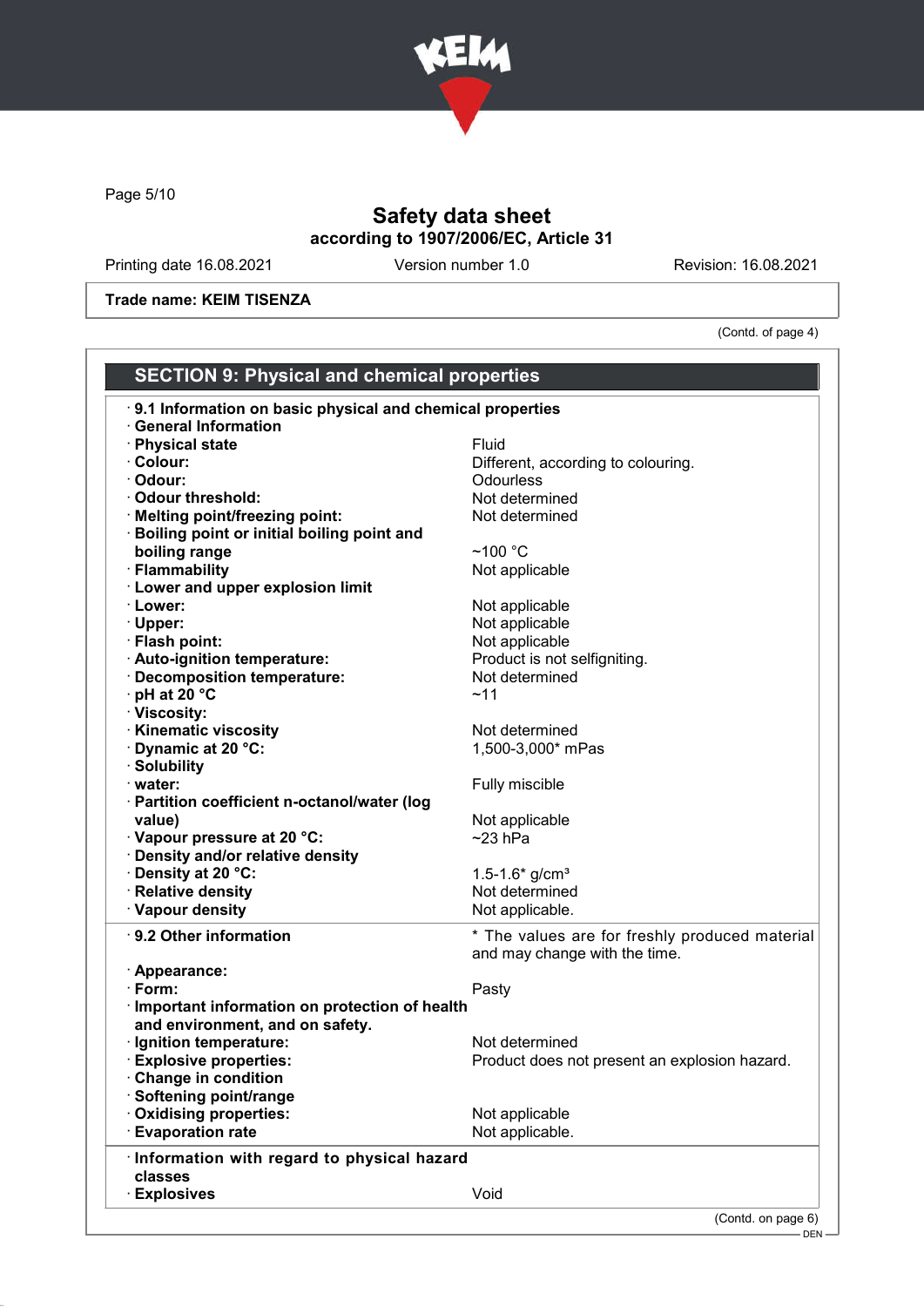

Page 5/10

# Safety data sheet according to 1907/2006/EC, Article 31

Printing date 16.08.2021 Version number 1.0 Revision: 16.08.2021

Trade name: KEIM TISENZA

(Contd. of page 4)

| <b>SECTION 9: Physical and chemical properties</b>        |                                                |  |
|-----------------------------------------------------------|------------------------------------------------|--|
| 9.1 Information on basic physical and chemical properties |                                                |  |
| <b>General Information</b>                                |                                                |  |
| <b>Physical state</b>                                     | Fluid                                          |  |
| · Colour:                                                 | Different, according to colouring.             |  |
| · Odour:                                                  | Odourless                                      |  |
| · Odour threshold:                                        | Not determined                                 |  |
| · Melting point/freezing point:                           | Not determined                                 |  |
| Boiling point or initial boiling point and                |                                                |  |
| boiling range                                             | $~100~^{\circ}$ C                              |  |
| · Flammability                                            | Not applicable                                 |  |
| <b>Lower and upper explosion limit</b>                    |                                                |  |
| · Lower:                                                  | Not applicable                                 |  |
| · Upper:                                                  | Not applicable                                 |  |
| · Flash point:                                            | Not applicable                                 |  |
| · Auto-ignition temperature:                              | Product is not selfigniting.                   |  |
| <b>Decomposition temperature:</b>                         | Not determined                                 |  |
| pH at 20 °C                                               | ~11                                            |  |
| · Viscosity:                                              |                                                |  |
| <b>Kinematic viscosity</b>                                | Not determined                                 |  |
| <b>Dynamic at 20 °C:</b>                                  | 1,500-3,000* mPas                              |  |
| · Solubility                                              |                                                |  |
| · water:                                                  | Fully miscible                                 |  |
| · Partition coefficient n-octanol/water (log              |                                                |  |
| value)                                                    | Not applicable                                 |  |
| · Vapour pressure at 20 °C:                               | $~23$ hPa                                      |  |
| Density and/or relative density                           |                                                |  |
| · Density at 20 °C:                                       | 1.5-1.6* $g/cm3$                               |  |
| · Relative density                                        | Not determined                                 |  |
| · Vapour density                                          | Not applicable.                                |  |
| $\cdot$ 9.2 Other information                             | * The values are for freshly produced material |  |
|                                                           | and may change with the time.                  |  |
| · Appearance:                                             |                                                |  |
| $\cdot$ Form:                                             | Pasty                                          |  |
| · Important information on protection of health           |                                                |  |
| and environment, and on safety.                           |                                                |  |
| · Ignition temperature:                                   | Not determined                                 |  |
| <b>Explosive properties:</b>                              | Product does not present an explosion hazard.  |  |
| <b>Change in condition</b>                                |                                                |  |
| Softening point/range                                     |                                                |  |
| <b>Oxidising properties:</b>                              | Not applicable                                 |  |
| <b>Evaporation rate</b>                                   | Not applicable.                                |  |
| Information with regard to physical hazard                |                                                |  |
| classes                                                   |                                                |  |
| <b>Explosives</b>                                         | Void                                           |  |
|                                                           | (Contd. on page 6)                             |  |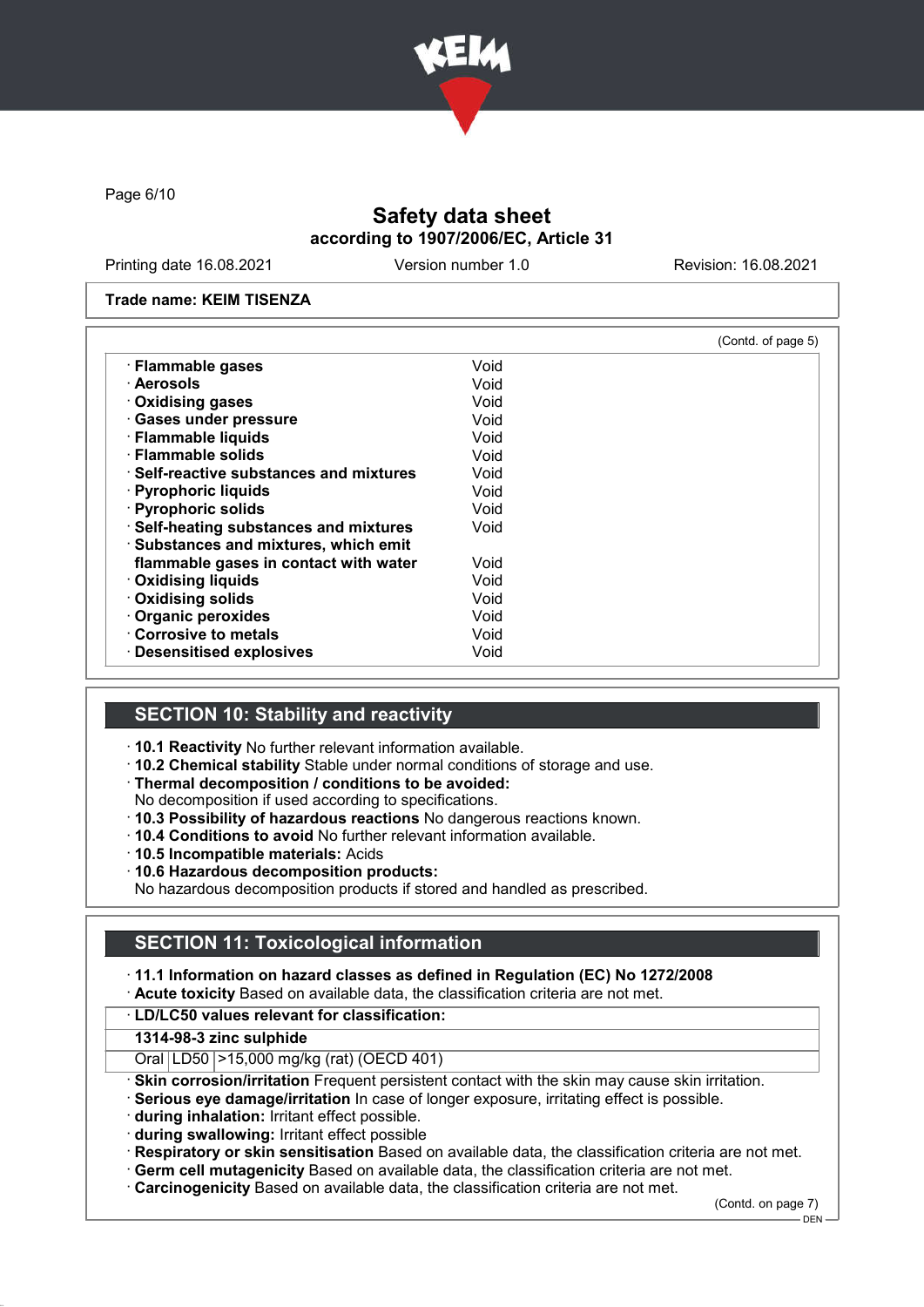

Page 6/10

# Safety data sheet according to 1907/2006/EC, Article 31

Printing date 16.08.2021 Version number 1.0 Revision: 16.08.2021

#### Trade name: KEIM TISENZA

|                                               |      | (Contd. of page 5) |
|-----------------------------------------------|------|--------------------|
| · Flammable gases                             | Void |                    |
| · Aerosols                                    | Void |                    |
| Oxidising gases                               | Void |                    |
| · Gases under pressure                        | Void |                    |
| · Flammable liquids                           | Void |                    |
| · Flammable solids                            | Void |                    |
| $\cdot$ Self-reactive substances and mixtures | Void |                    |
| · Pyrophoric liquids                          | Void |                    |
| · Pyrophoric solids                           | Void |                    |
| · Self-heating substances and mixtures        | Void |                    |
| · Substances and mixtures, which emit         |      |                    |
| flammable gases in contact with water         | Void |                    |
| <b>Oxidising liquids</b>                      | Void |                    |
| · Oxidising solids                            | Void |                    |
| · Organic peroxides                           | Void |                    |
| Corrosive to metals                           | Void |                    |
| · Desensitised explosives                     | Void |                    |

### SECTION 10: Stability and reactivity

- · 10.1 Reactivity No further relevant information available.
- · 10.2 Chemical stability Stable under normal conditions of storage and use.
- · Thermal decomposition / conditions to be avoided:
- No decomposition if used according to specifications.
- · 10.3 Possibility of hazardous reactions No dangerous reactions known.
- · 10.4 Conditions to avoid No further relevant information available.
- · 10.5 Incompatible materials: Acids
- · 10.6 Hazardous decomposition products:

No hazardous decomposition products if stored and handled as prescribed.

## SECTION 11: Toxicological information

· 11.1 Information on hazard classes as defined in Regulation (EC) No 1272/2008 · Acute toxicity Based on available data, the classification criteria are not met.

#### · LD/LC50 values relevant for classification:

#### 1314-98-3 zinc sulphide

- Oral LD50 >15,000 mg/kg (rat) (OECD 401)
- · Skin corrosion/irritation Frequent persistent contact with the skin may cause skin irritation.
- Serious eye damage/irritation In case of longer exposure, irritating effect is possible.
- · during inhalation: Irritant effect possible.
- · during swallowing: Irritant effect possible
- · Respiratory or skin sensitisation Based on available data, the classification criteria are not met.
- · Germ cell mutagenicity Based on available data, the classification criteria are not met.
- · Carcinogenicity Based on available data, the classification criteria are not met.

(Contd. on page 7)

DEN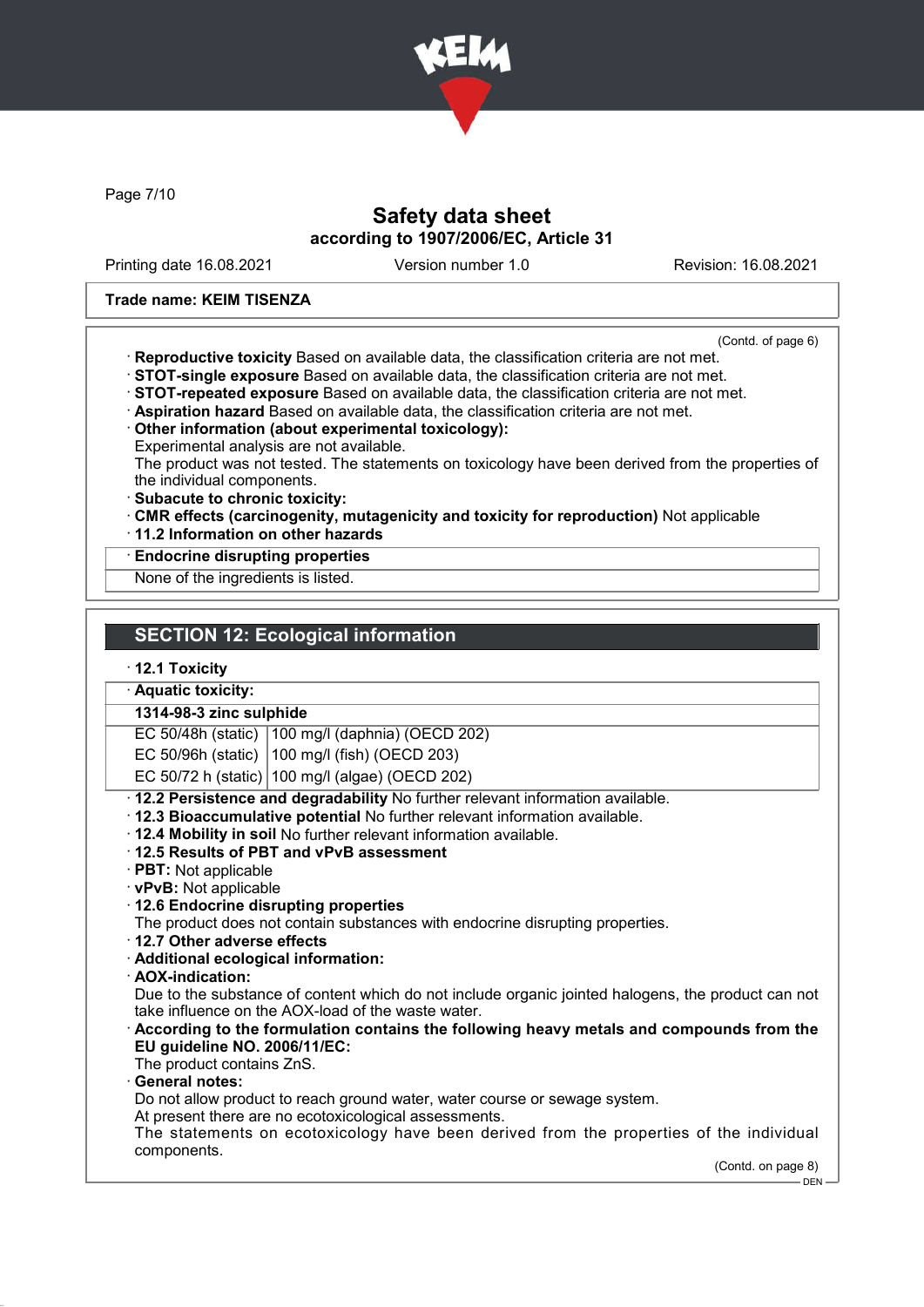

Page 7/10

## Safety data sheet according to 1907/2006/EC, Article 31

Printing date 16.08.2021 Version number 1.0 Revision: 16.08.2021

#### Trade name: KEIM TISENZA

(Contd. of page 6)

- · Reproductive toxicity Based on available data, the classification criteria are not met.
- · STOT-single exposure Based on available data, the classification criteria are not met. · STOT-repeated exposure Based on available data, the classification criteria are not met.
- · Aspiration hazard Based on available data, the classification criteria are not met.
- · Other information (about experimental toxicology):
- Experimental analysis are not available.

The product was not tested. The statements on toxicology have been derived from the properties of the individual components.

- · Subacute to chronic toxicity:
- · CMR effects (carcinogenity, mutagenicity and toxicity for reproduction) Not applicable
- · 11.2 Information on other hazards

#### · Endocrine disrupting properties

None of the ingredients is listed.

#### · 12.1 Toxicity

#### · Aquatic toxicity:

# 1314-98-3 zinc sulphide

EC 50/48h (static) 100 mg/l (daphnia) (OECD 202)

EC 50/96h (static) 100 mg/l (fish) (OECD 203)

EC 50/72 h (static) 100 mg/l (algae) (OECD 202)

· 12.2 Persistence and degradability No further relevant information available.

- · 12.3 Bioaccumulative potential No further relevant information available.
- · 12.4 Mobility in soil No further relevant information available.
- · 12.5 Results of PBT and vPvB assessment
- · PBT: Not applicable
- · vPvB: Not applicable
- · 12.6 Endocrine disrupting properties

The product does not contain substances with endocrine disrupting properties.

- · 12.7 Other adverse effects
- · Additional ecological information:
- · AOX-indication:

Due to the substance of content which do not include organic jointed halogens, the product can not take influence on the AOX-load of the waste water.

- · According to the formulation contains the following heavy metals and compounds from the EU guideline NO. 2006/11/EC:
- The product contains ZnS.

General notes:

Do not allow product to reach ground water, water course or sewage system.

At present there are no ecotoxicological assessments.

The statements on ecotoxicology have been derived from the properties of the individual components.

(Contd. on page 8)

DEN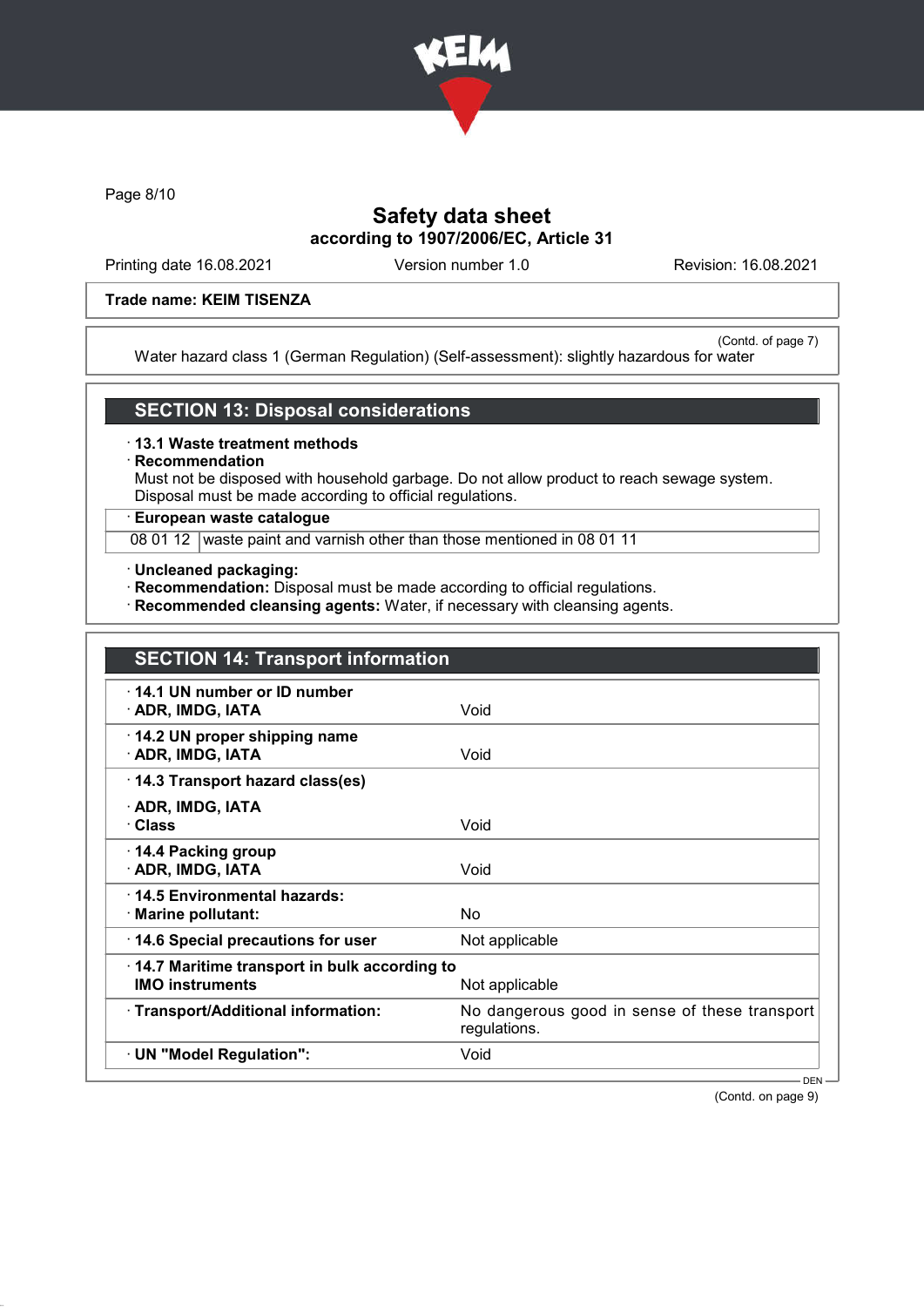

Page 8/10

## Safety data sheet according to 1907/2006/EC, Article 31

Printing date 16.08.2021 Version number 1.0 Revision: 16.08.2021

#### Trade name: KEIM TISENZA

(Contd. of page 7) Water hazard class 1 (German Regulation) (Self-assessment): slightly hazardous for water

### SECTION 13: Disposal considerations

· 13.1 Waste treatment methods

## **Recommendation**

Must not be disposed with household garbage. Do not allow product to reach sewage system. Disposal must be made according to official regulations.

### · European waste catalogue

08 01 12 waste paint and varnish other than those mentioned in 08 01 11

- · Uncleaned packaging:
- · Recommendation: Disposal must be made according to official regulations.
- · Recommended cleansing agents: Water, if necessary with cleansing agents.

|                                                                                          | <b>SECTION 14: Transport information</b>                      |  |  |
|------------------------------------------------------------------------------------------|---------------------------------------------------------------|--|--|
| 14.1 UN number or ID number<br>· ADR, IMDG, IATA                                         | Void                                                          |  |  |
| 14.2 UN proper shipping name<br>· ADR, IMDG, IATA                                        | Void                                                          |  |  |
| 14.3 Transport hazard class(es)                                                          |                                                               |  |  |
| · ADR, IMDG, IATA<br>· Class                                                             | Void                                                          |  |  |
| $\cdot$ 14.4 Packing group<br>· ADR, IMDG, IATA                                          | Void                                                          |  |  |
| 14.5 Environmental hazards:<br>· Marine pollutant:                                       | No.                                                           |  |  |
| 14.6 Special precautions for user                                                        | Not applicable                                                |  |  |
| 14.7 Maritime transport in bulk according to<br><b>IMO instruments</b><br>Not applicable |                                                               |  |  |
| · Transport/Additional information:                                                      | No dangerous good in sense of these transport<br>regulations. |  |  |
| · UN "Model Regulation":                                                                 | Void                                                          |  |  |
|                                                                                          | $DEN -$                                                       |  |  |

(Contd. on page 9)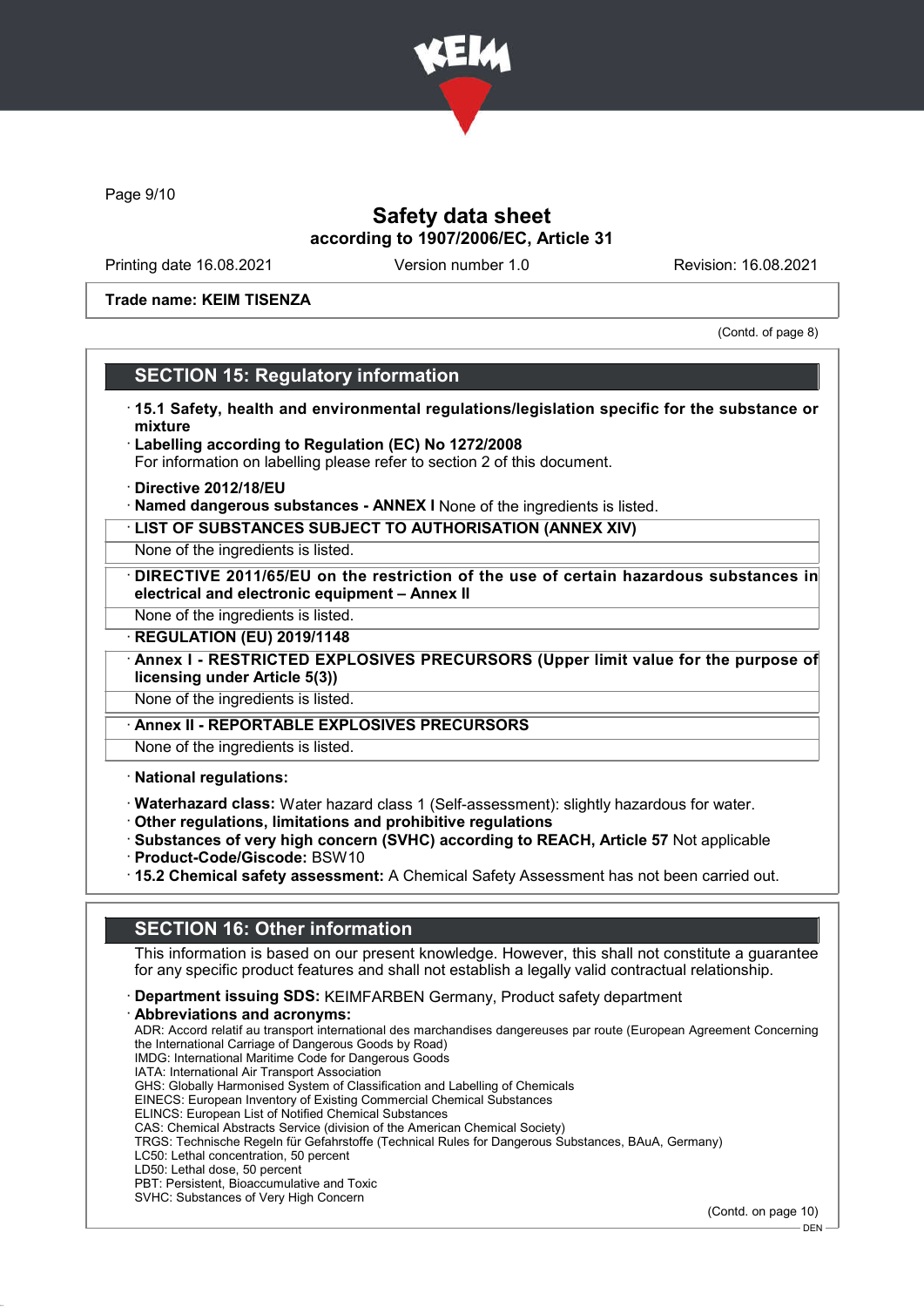

Page 9/10

## Safety data sheet according to 1907/2006/EC, Article 31

Printing date 16.08.2021 Version number 1.0 Revision: 16.08.2021

Trade name: KEIM TISENZA

(Contd. of page 8)

### SECTION 15: Regulatory information

- · 15.1 Safety, health and environmental regulations/legislation specific for the substance or mixture
- · Labelling according to Regulation (EC) No 1272/2008
- For information on labelling please refer to section 2 of this document.
- · Directive 2012/18/EU
- · Named dangerous substances ANNEX I None of the ingredients is listed.
- · LIST OF SUBSTANCES SUBJECT TO AUTHORISATION (ANNEX XIV)

None of the ingredients is listed.

DIRECTIVE 2011/65/EU on the restriction of the use of certain hazardous substances in electrical and electronic equipment – Annex II

None of the ingredients is listed.

**REGULATION (EU) 2019/1148** 

Annex I - RESTRICTED EXPLOSIVES PRECURSORS (Upper limit value for the purpose of licensing under Article 5(3))

None of the ingredients is listed.

Annex II - REPORTABLE EXPLOSIVES PRECURSORS

None of the ingredients is listed.

· National regulations:

- · Waterhazard class: Water hazard class 1 (Self-assessment): slightly hazardous for water.
- · Other regulations, limitations and prohibitive regulations
- · Substances of very high concern (SVHC) according to REACH, Article 57 Not applicable
- · Product-Code/Giscode: BSW10
- · 15.2 Chemical safety assessment: A Chemical Safety Assessment has not been carried out.

# SECTION 16: Other information

This information is based on our present knowledge. However, this shall not constitute a guarantee for any specific product features and shall not establish a legally valid contractual relationship.

· Department issuing SDS: KEIMFARBEN Germany, Product safety department · Abbreviations and acronyms: ADR: Accord relatif au transport international des marchandises dangereuses par route (European Agreement Concerning the International Carriage of Dangerous Goods by Road) IMDG: International Maritime Code for Dangerous Goods IATA: International Air Transport Association GHS: Globally Harmonised System of Classification and Labelling of Chemicals EINECS: European Inventory of Existing Commercial Chemical Substances ELINCS: European List of Notified Chemical Substances CAS: Chemical Abstracts Service (division of the American Chemical Society) TRGS: Technische Regeln für Gefahrstoffe (Technical Rules for Dangerous Substances, BAuA, Germany) LC50: Lethal concentration, 50 percent LD50: Lethal dose, 50 percent PBT: Persistent, Bioaccumulative and Toxic SVHC: Substances of Very High Concern

(Contd. on page 10)